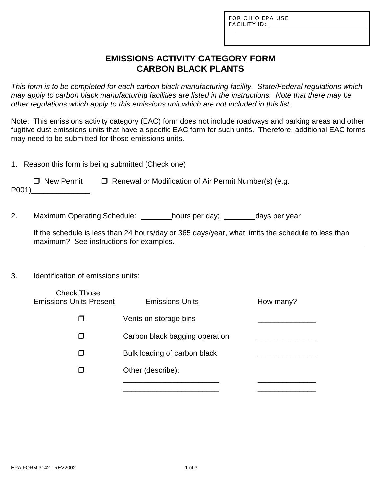L

# **EMISSIONS ACTIVITY CATEGORY FORM CARBON BLACK PLANTS**

*This form is to be completed for each carbon black manufacturing facility. State/Federal regulations which may apply to carbon black manufacturing facilities are listed in the instructions. Note that there may be other regulations which apply to this emissions unit which are not included in this list.*

Note: This emissions activity category (EAC) form does not include roadways and parking areas and other fugitive dust emissions units that have a specific EAC form for such units. Therefore, additional EAC forms may need to be submitted for those emissions units.

1. Reason this form is being submitted (Check one)

 $\Box$  New Permit  $\Box$  Renewal or Modification of Air Permit Number(s) (e.g. P001)\_\_\_\_\_\_\_\_\_\_\_\_\_\_

2. Maximum Operating Schedule: hours per day; days per year

If the schedule is less than 24 hours/day or 365 days/year, what limits the schedule to less than maximum? See instructions for examples.

### 3. Identification of emissions units:

| <b>Check Those</b><br><b>Emissions Units Present</b> | <b>Emissions Units</b>         | How many? |
|------------------------------------------------------|--------------------------------|-----------|
|                                                      | Vents on storage bins          |           |
|                                                      | Carbon black bagging operation |           |
|                                                      | Bulk loading of carbon black   |           |
|                                                      | Other (describe):              |           |
|                                                      |                                |           |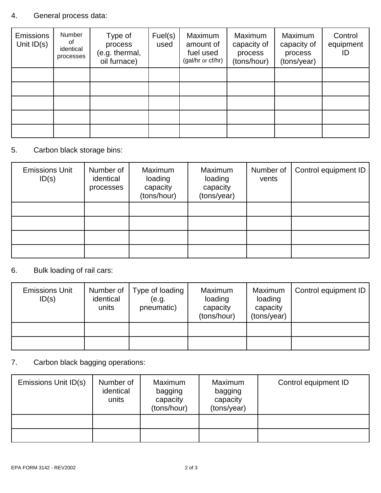## 4. General process data:

| <b>Emissions</b><br>Unit $ID(s)$ | Number<br>of<br>identical<br>processes | Type of<br>process<br>(e.g. thermal,<br>oil furnace) | Fuel(s)<br>used | Maximum<br>amount of<br>fuel used<br>(gal/hr or cf/hr) | Maximum<br>capacity of<br>process<br>(tons/hour) | Maximum<br>capacity of<br>process<br>(tons/year) | Control<br>equipment<br>ID |
|----------------------------------|----------------------------------------|------------------------------------------------------|-----------------|--------------------------------------------------------|--------------------------------------------------|--------------------------------------------------|----------------------------|
|                                  |                                        |                                                      |                 |                                                        |                                                  |                                                  |                            |
|                                  |                                        |                                                      |                 |                                                        |                                                  |                                                  |                            |
|                                  |                                        |                                                      |                 |                                                        |                                                  |                                                  |                            |
|                                  |                                        |                                                      |                 |                                                        |                                                  |                                                  |                            |
|                                  |                                        |                                                      |                 |                                                        |                                                  |                                                  |                            |

### 5. Carbon black storage bins:

| <b>Emissions Unit</b><br>ID(s) | Number of<br>identical<br>processes | Maximum<br>loading<br>capacity<br>(tons/hour) | Maximum<br>loading<br>capacity<br>(tons/year) | Number of<br>vents | Control equipment ID |
|--------------------------------|-------------------------------------|-----------------------------------------------|-----------------------------------------------|--------------------|----------------------|
|                                |                                     |                                               |                                               |                    |                      |
|                                |                                     |                                               |                                               |                    |                      |
|                                |                                     |                                               |                                               |                    |                      |
|                                |                                     |                                               |                                               |                    |                      |

### 6. Bulk loading of rail cars:

| <b>Emissions Unit</b><br>ID(s) | Number of<br>identical<br>units | Type of loading<br>(e.g.<br>pneumatic) | Maximum<br>loading<br>capacity<br>(tons/hour) | Maximum<br>loading<br>capacity<br>(tons/year) | Control equipment ID |
|--------------------------------|---------------------------------|----------------------------------------|-----------------------------------------------|-----------------------------------------------|----------------------|
|                                |                                 |                                        |                                               |                                               |                      |
|                                |                                 |                                        |                                               |                                               |                      |

## 7. Carbon black bagging operations:

| Emissions Unit ID(s) | Number of<br>identical<br>units | Maximum<br>bagging<br>capacity<br>(tons/hour) | Maximum<br>bagging<br>capacity<br>(tons/year) | Control equipment ID |
|----------------------|---------------------------------|-----------------------------------------------|-----------------------------------------------|----------------------|
|                      |                                 |                                               |                                               |                      |
|                      |                                 |                                               |                                               |                      |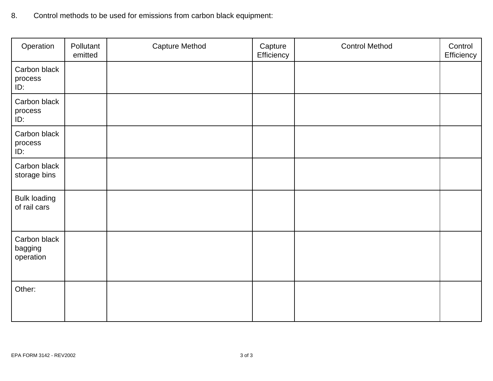| 8. |  |  | Control methods to be used for emissions from carbon black equipment: |
|----|--|--|-----------------------------------------------------------------------|
|----|--|--|-----------------------------------------------------------------------|

| Operation                            | Pollutant<br>emitted | <b>Capture Method</b> | Capture<br>Efficiency | <b>Control Method</b> | Control<br>Efficiency |
|--------------------------------------|----------------------|-----------------------|-----------------------|-----------------------|-----------------------|
| Carbon black<br>process<br>ID:       |                      |                       |                       |                       |                       |
| Carbon black<br>process<br>ID:       |                      |                       |                       |                       |                       |
| Carbon black<br>process<br>ID:       |                      |                       |                       |                       |                       |
| Carbon black<br>storage bins         |                      |                       |                       |                       |                       |
| <b>Bulk loading</b><br>of rail cars  |                      |                       |                       |                       |                       |
| Carbon black<br>bagging<br>operation |                      |                       |                       |                       |                       |
| Other:                               |                      |                       |                       |                       |                       |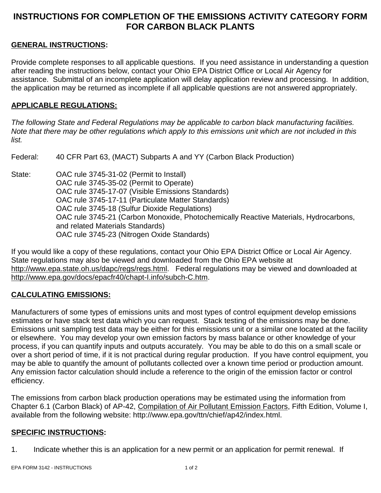# **INSTRUCTIONS FOR COMPLETION OF THE EMISSIONS ACTIVITY CATEGORY FORM FOR CARBON BLACK PLANTS**

### **GENERAL INSTRUCTIONS:**

Provide complete responses to all applicable questions. If you need assistance in understanding a question after reading the instructions below, contact your Ohio EPA District Office or Local Air Agency for assistance. Submittal of an incomplete application will delay application review and processing. In addition, the application may be returned as incomplete if all applicable questions are not answered appropriately.

### **APPLICABLE REGULATIONS:**

*The following State and Federal Regulations may be applicable to carbon black manufacturing facilities. Note that there may be other regulations which apply to this emissions unit which are not included in this list.*

Federal: 40 CFR Part 63, (MACT) Subparts A and YY (Carbon Black Production)

State: OAC rule 3745-31-02 (Permit to Install) OAC rule 3745-35-02 (Permit to Operate) OAC rule 3745-17-07 (Visible Emissions Standards) OAC rule 3745-17-11 (Particulate Matter Standards) OAC rule 3745-18 (Sulfur Dioxide Regulations) OAC rule 3745-21 (Carbon Monoxide, Photochemically Reactive Materials, Hydrocarbons, and related Materials Standards) OAC rule 3745-23 (Nitrogen Oxide Standards)

If you would like a copy of these regulations, contact your Ohio EPA District Office or Local Air Agency. State regulations may also be viewed and downloaded from the Ohio EPA website at http://www.epa.state.oh.us/dapc/regs/regs.html. Federal regulations may be viewed and downloaded at http://www.epa.gov/docs/epacfr40/chapt-I.info/subch-C.htm.

### **CALCULATING EMISSIONS:**

Manufacturers of some types of emissions units and most types of control equipment develop emissions estimates or have stack test data which you can request. Stack testing of the emissions may be done. Emissions unit sampling test data may be either for this emissions unit or a similar one located at the facility or elsewhere. You may develop your own emission factors by mass balance or other knowledge of your process, if you can quantify inputs and outputs accurately. You may be able to do this on a small scale or over a short period of time, if it is not practical during regular production. If you have control equipment, you may be able to quantify the amount of pollutants collected over a known time period or production amount. Any emission factor calculation should include a reference to the origin of the emission factor or control efficiency.

The emissions from carbon black production operations may be estimated using the information from Chapter 6.1 (Carbon Black) of AP-42, Compilation of Air Pollutant Emission Factors, Fifth Edition, Volume I, available from the following website: http://www.epa.gov/ttn/chief/ap42/index.html.

### **SPECIFIC INSTRUCTIONS:**

1. Indicate whether this is an application for a new permit or an application for permit renewal. If